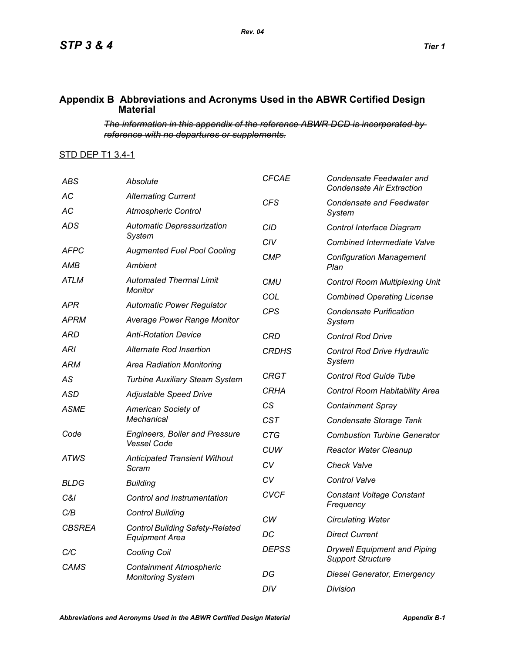## **Appendix B Abbreviations and Acronyms Used in the ABWR Certified Design Material**

*The information in this appendix of the reference ABWR DCD is incorporated by reference with no departures or supplements.*

## STD DEP T1 3.4-1

| <b>ABS</b>         | Absolute                                                                                                     | <b>CFCAE</b> | Condensate Feedwater and<br><b>Condensate Air Extraction</b>    |
|--------------------|--------------------------------------------------------------------------------------------------------------|--------------|-----------------------------------------------------------------|
| AC                 | <b>Alternating Current</b>                                                                                   | CFS          | <b>Condensate and Feedwater</b><br>System                       |
| AC                 | <b>Atmospheric Control</b>                                                                                   |              |                                                                 |
| ADS                | <b>Automatic Depressurization</b>                                                                            | <b>CID</b>   | Control Interface Diagram                                       |
|                    | Svstem                                                                                                       | CIV          | <b>Combined Intermediate Valve</b>                              |
| AFPC               | <b>Augmented Fuel Pool Cooling</b>                                                                           | CMP          | <b>Configuration Management</b>                                 |
| AMB<br>ATLM        | Ambient<br><b>Automated Thermal Limit</b><br>Monitor<br><b>Automatic Power Regulator</b>                     |              | Plan                                                            |
|                    |                                                                                                              | CMU          | <b>Control Room Multiplexing Unit</b>                           |
| APR                |                                                                                                              | COL          | <b>Combined Operating License</b>                               |
| <b>APRM</b>        | <b>Average Power Range Monitor</b>                                                                           | <b>CPS</b>   | <b>Condensate Purification</b><br>System                        |
| ARD                | <b>Anti-Rotation Device</b>                                                                                  | <b>CRD</b>   | <b>Control Rod Drive</b>                                        |
| ARI                | Alternate Rod Insertion                                                                                      | <b>CRDHS</b> | Control Rod Drive Hydraulic                                     |
| ARM                | <b>Area Radiation Monitoring</b>                                                                             |              | System                                                          |
| AS                 | <b>Turbine Auxiliary Steam System</b>                                                                        | CRGT         | <b>Control Rod Guide Tube</b>                                   |
| ASD                | <b>Adjustable Speed Drive</b>                                                                                | <b>CRHA</b>  | Control Room Habitability Area                                  |
| <b>ASME</b>        | American Society of<br>Mechanical                                                                            | <b>CS</b>    | <b>Containment Spray</b>                                        |
|                    |                                                                                                              | <b>CST</b>   | Condensate Storage Tank                                         |
| Code<br>ATWS       | <b>Engineers, Boiler and Pressure</b><br><b>Vessel Code</b><br><b>Anticipated Transient Without</b><br>Scram | <b>CTG</b>   | <b>Combustion Turbine Generator</b>                             |
|                    |                                                                                                              | <b>CUW</b>   | <b>Reactor Water Cleanup</b>                                    |
|                    |                                                                                                              | CV           | <b>Check Valve</b>                                              |
| BLDG               | <b>Building</b>                                                                                              | CV           | Control Valve                                                   |
| C&I                | Control and Instrumentation                                                                                  | <b>CVCF</b>  | <b>Constant Voltage Constant</b>                                |
| C/B                | <b>Control Building</b>                                                                                      |              | Frequency                                                       |
| <b>CBSREA</b>      | <b>Control Building Safety-Related</b><br><b>Equipment Area</b>                                              | СW           | <b>Circulating Water</b>                                        |
|                    |                                                                                                              | DC           | <b>Direct Current</b>                                           |
| C/C<br><b>CAMS</b> | <b>Cooling Coil</b><br><b>Containment Atmospheric</b><br><b>Monitoring System</b>                            | <b>DEPSS</b> | <b>Drywell Equipment and Piping</b><br><b>Support Structure</b> |
|                    |                                                                                                              | DG           | Diesel Generator, Emergency                                     |
|                    |                                                                                                              | DIV          | Division                                                        |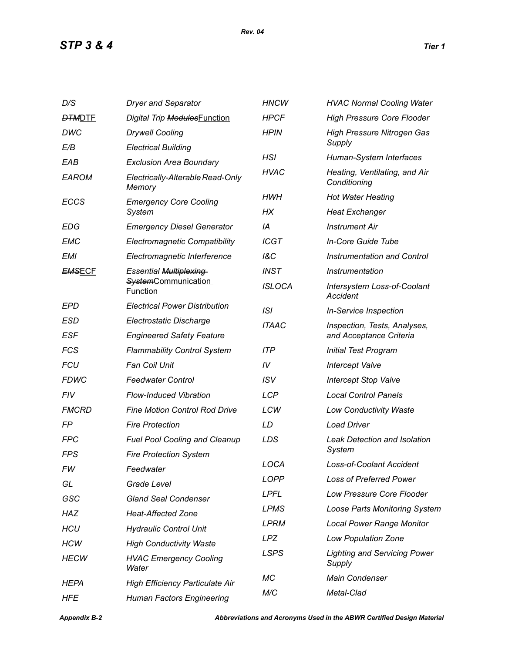| D/S           | <b>Dryer and Separator</b>                                                     | <b>HNCW</b>    | <b>HVAC Normal Cooling Water</b>                        |
|---------------|--------------------------------------------------------------------------------|----------------|---------------------------------------------------------|
| <b>DTMDTE</b> | Digital Trip ModulesFunction                                                   | <b>HPCF</b>    | <b>High Pressure Core Flooder</b>                       |
| DWC           | <b>Drywell Cooling</b>                                                         | <b>HPIN</b>    | <b>High Pressure Nitrogen Gas</b>                       |
| E/B           | <b>Electrical Building</b>                                                     |                | Supply                                                  |
| EAB           | <b>Exclusion Area Boundary</b>                                                 | <b>HSI</b>     | Human-System Interfaces                                 |
| <b>EAROM</b>  | Electrically-Alterable Read-Only<br>Memory                                     | <b>HVAC</b>    | Heating, Ventilating, and Air<br>Conditioning           |
| <b>ECCS</b>   | <b>Emergency Core Cooling</b><br>System                                        | HWH            | <b>Hot Water Heating</b>                                |
|               |                                                                                | НX             | <b>Heat Exchanger</b>                                   |
| EDG           | <b>Emergency Diesel Generator</b>                                              | IA             | <b>Instrument Air</b>                                   |
| <b>EMC</b>    | <b>Electromagnetic Compatibility</b>                                           | <b>ICGT</b>    | In-Core Guide Tube                                      |
| EMI           | Electromagnetic Interference                                                   | <b>1&amp;C</b> | <b>Instrumentation and Control</b>                      |
| <b>EMSECF</b> | <b>Essential Multiplexing</b><br><b>SystemCommunication</b><br><b>Function</b> | <b>INST</b>    | Instrumentation                                         |
|               |                                                                                | <b>ISLOCA</b>  | <b>Intersystem Loss-of-Coolant</b><br>Accident          |
| EPD           | <b>Electrical Power Distribution</b>                                           | ISI            | <b>In-Service Inspection</b>                            |
| ESD           | Electrostatic Discharge                                                        | <b>ITAAC</b>   | Inspection, Tests, Analyses,<br>and Acceptance Criteria |
| <b>ESF</b>    | <b>Engineered Safety Feature</b>                                               |                |                                                         |
| <b>FCS</b>    | <b>Flammability Control System</b>                                             | <b>ITP</b>     | <b>Initial Test Program</b>                             |
| <b>FCU</b>    | <b>Fan Coil Unit</b>                                                           | IV             | <b>Intercept Valve</b>                                  |
| <b>FDWC</b>   | <b>Feedwater Control</b>                                                       | <b>ISV</b>     | <b>Intercept Stop Valve</b>                             |
| <b>FIV</b>    | <b>Flow-Induced Vibration</b>                                                  | <b>LCP</b>     | <b>Local Control Panels</b>                             |
| <b>FMCRD</b>  | <b>Fine Motion Control Rod Drive</b>                                           | LCW            | <b>Low Conductivity Waste</b>                           |
| FP            | <b>Fire Protection</b>                                                         | LD             | <b>Load Driver</b>                                      |
| <b>FPC</b>    | <b>Fuel Pool Cooling and Cleanup</b>                                           | LDS            | <b>Leak Detection and Isolation</b>                     |
| FPS           | <b>Fire Protection System</b>                                                  |                | System                                                  |
| FW            | Feedwater                                                                      | LOCA           | Loss-of-Coolant Accident                                |
| GL            | Grade Level                                                                    | <b>LOPP</b>    | <b>Loss of Preferred Power</b>                          |
| GSC           | <b>Gland Seal Condenser</b>                                                    | <b>LPFL</b>    | Low Pressure Core Flooder                               |
| HAZ           | <b>Heat-Affected Zone</b>                                                      | <b>LPMS</b>    | <b>Loose Parts Monitoring System</b>                    |
| <b>HCU</b>    | <b>Hydraulic Control Unit</b>                                                  | <b>LPRM</b>    | <b>Local Power Range Monitor</b>                        |
| <b>HCW</b>    | <b>High Conductivity Waste</b>                                                 | <b>LPZ</b>     | <b>Low Population Zone</b>                              |
| <b>HECW</b>   | <b>HVAC Emergency Cooling</b><br>Water                                         | <b>LSPS</b>    | <b>Lighting and Servicing Power</b><br>Supply           |
| <b>HEPA</b>   | <b>High Efficiency Particulate Air</b>                                         | МC             | Main Condenser                                          |
| <b>HFE</b>    | <b>Human Factors Engineering</b>                                               | M/C            | Metal-Clad                                              |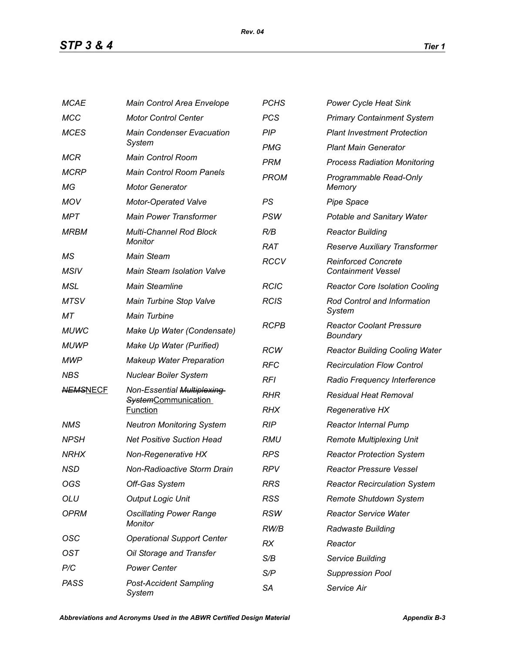| <b>MCAE</b>       | Main Control Area Envelope                                                  | <b>PCHS</b> | <b>Power Cycle Heat Sink</b>                            |
|-------------------|-----------------------------------------------------------------------------|-------------|---------------------------------------------------------|
| <b>MCC</b>        | <b>Motor Control Center</b>                                                 | <b>PCS</b>  | <b>Primary Containment System</b>                       |
| <b>MCES</b>       | <b>Main Condenser Evacuation</b><br>System                                  | <b>PIP</b>  | <b>Plant Investment Protection</b>                      |
|                   |                                                                             | <b>PMG</b>  | <b>Plant Main Generator</b>                             |
| <b>MCR</b>        | <b>Main Control Room</b>                                                    | <b>PRM</b>  | <b>Process Radiation Monitoring</b>                     |
| <b>MCRP</b>       | <b>Main Control Room Panels</b>                                             | <b>PROM</b> | Programmable Read-Only<br>Memory                        |
| ΜG                | <b>Motor Generator</b>                                                      |             |                                                         |
| <b>MOV</b>        | <b>Motor-Operated Valve</b>                                                 | PS          | <b>Pipe Space</b>                                       |
| MPT               | <b>Main Power Transformer</b>                                               | <b>PSW</b>  | Potable and Sanitary Water                              |
| <b>MRBM</b>       | <b>Multi-Channel Rod Block</b>                                              | R/B         | <b>Reactor Building</b>                                 |
|                   | Monitor                                                                     | <b>RAT</b>  | Reserve Auxiliary Transformer                           |
| MS<br><b>MSIV</b> | <b>Main Steam</b><br><b>Main Steam Isolation Valve</b>                      | <b>RCCV</b> | <b>Reinforced Concrete</b><br><b>Containment Vessel</b> |
| MSL               | <b>Main Steamline</b>                                                       | <b>RCIC</b> | <b>Reactor Core Isolation Cooling</b>                   |
| <b>MTSV</b>       | Main Turbine Stop Valve                                                     | <b>RCIS</b> | Rod Control and Information                             |
| МT                | <b>Main Turbine</b>                                                         |             | System                                                  |
| <b>MUWC</b>       | Make Up Water (Condensate)                                                  | <b>RCPB</b> | <b>Reactor Coolant Pressure</b><br>Boundary             |
| <b>MUWP</b>       | Make Up Water (Purified)                                                    | <b>RCW</b>  | <b>Reactor Building Cooling Water</b>                   |
| <b>MWP</b>        | <b>Makeup Water Preparation</b>                                             | <b>RFC</b>  | <b>Recirculation Flow Control</b>                       |
| <b>NBS</b>        | <b>Nuclear Boiler System</b>                                                | <b>RFI</b>  | Radio Frequency Interference                            |
| <b>NEMSNECF</b>   | Non-Essential Multiplexing<br><b>SystemCommunication</b><br><b>Function</b> | <b>RHR</b>  | <b>Residual Heat Removal</b>                            |
|                   |                                                                             | <b>RHX</b>  | <b>Regenerative HX</b>                                  |
| NMS               | <b>Neutron Monitoring System</b>                                            | <b>RIP</b>  | <b>Reactor Internal Pump</b>                            |
| <b>NPSH</b>       | <b>Net Positive Suction Head</b>                                            | RMU         | <b>Remote Multiplexing Unit</b>                         |
| <b>NRHX</b>       | Non-Regenerative HX                                                         | <b>RPS</b>  | <b>Reactor Protection System</b>                        |
| NSD               | Non-Radioactive Storm Drain                                                 | <b>RPV</b>  | <b>Reactor Pressure Vessel</b>                          |
| OGS               | Off-Gas System                                                              | <b>RRS</b>  | <b>Reactor Recirculation System</b>                     |
| OLU               | <b>Output Logic Unit</b>                                                    | <b>RSS</b>  | Remote Shutdown System                                  |
| <b>OPRM</b>       | <b>Oscillating Power Range</b><br>Monitor                                   | <b>RSW</b>  | <b>Reactor Service Water</b>                            |
|                   |                                                                             | RW/B        | <b>Radwaste Building</b>                                |
| OSC               | <b>Operational Support Center</b>                                           | <b>RX</b>   | Reactor                                                 |
| <b>OST</b>        | Oil Storage and Transfer                                                    | S/B         | Service Building                                        |
| P/C               | <b>Power Center</b>                                                         | S/P         | <b>Suppression Pool</b>                                 |
| <b>PASS</b>       | <b>Post-Accident Sampling</b><br>System                                     | <b>SA</b>   | Service Air                                             |